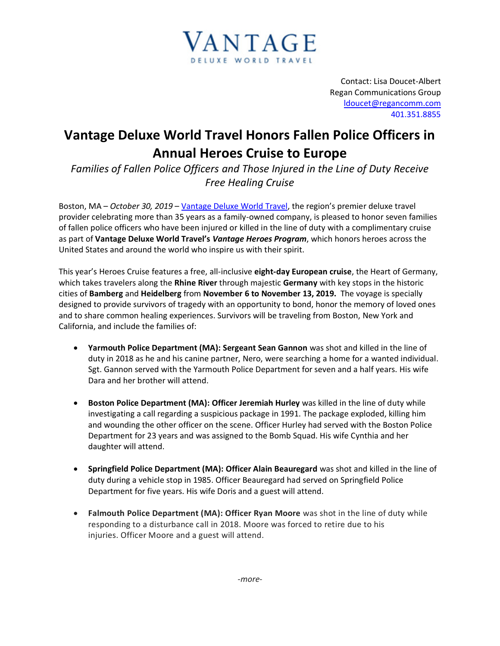

Contact: Lisa Doucet-Albert Regan Communications Group [ldoucet@regancomm.com](mailto:ldoucet@regancomm.com) 401.351.8855

## **Vantage Deluxe World Travel Honors Fallen Police Officers in Annual Heroes Cruise to Europe**

*Families of Fallen Police Officers and Those Injured in the Line of Duty Receive Free Healing Cruise* 

Boston, MA – *October 30, 2019* – [Vantage Deluxe World Travel](http://www.vantagetravel.com/), the region's premier deluxe travel provider celebrating more than 35 years as a family-owned company, is pleased to honor seven families of fallen police officers who have been injured or killed in the line of duty with a complimentary cruise as part of **Vantage Deluxe World Travel's** *Vantage Heroes Program*, which honors heroes across the United States and around the world who inspire us with their spirit.

This year's Heroes Cruise features a free, all-inclusive **eight-day European cruise**, the Heart of Germany, which takes travelers along the **Rhine River** through majestic **Germany** with key stops in the historic cities of **Bamberg** and **Heidelberg** from **November 6 to November 13, 2019.** The voyage is specially designed to provide survivors of tragedy with an opportunity to bond, honor the memory of loved ones and to share common healing experiences. Survivors will be traveling from Boston, New York and California, and include the families of:

- **Yarmouth Police Department (MA): Sergeant Sean Gannon** was shot and killed in the line of duty in 2018 as he and his canine partner, Nero, were searching a home for a wanted individual. Sgt. Gannon served with the Yarmouth Police Department for seven and a half years. His wife Dara and her brother will attend.
- **Boston Police Department (MA): Officer Jeremiah Hurley** was killed in the line of duty while investigating a call regarding a suspicious package in 1991. The package exploded, killing him and wounding the other officer on the scene. Officer Hurley had served with the Boston Police Department for 23 years and was assigned to the Bomb Squad. His wife Cynthia and her daughter will attend.
- **Springfield Police Department (MA): Officer Alain Beauregard** was shot and killed in the line of duty during a vehicle stop in 1985. Officer Beauregard had served on Springfield Police Department for five years. His wife Doris and a guest will attend.
- **Falmouth Police Department (MA): Officer Ryan Moore** was shot in the line of duty while responding to a disturbance call in 2018. Moore was forced to retire due to his injuries. Officer Moore and a guest will attend.